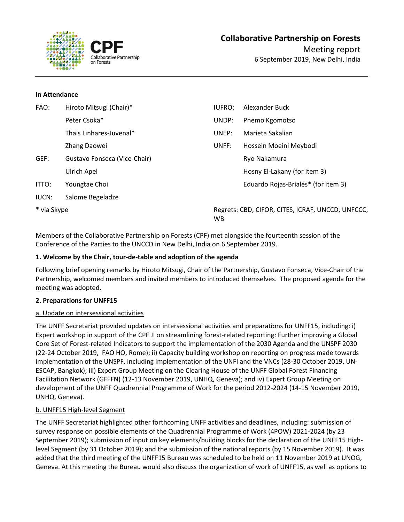

### **In Attendance**

| FAO:         | Hiroto Mitsugi (Chair)*      | IUFRO:                                                         | Alexander Buck                      |
|--------------|------------------------------|----------------------------------------------------------------|-------------------------------------|
|              | Peter Csoka*                 | UNDP:                                                          | Phemo Kgomotso                      |
|              | Thais Linhares-Juvenal*      | UNEP:                                                          | Marieta Sakalian                    |
|              | Zhang Daowei                 | UNFF:                                                          | Hossein Moeini Meybodi              |
| GEF:         | Gustavo Fonseca (Vice-Chair) |                                                                | Ryo Nakamura                        |
|              | <b>Ulrich Apel</b>           |                                                                | Hosny El-Lakany (for item 3)        |
| ITTO:        | Youngtae Choi                |                                                                | Eduardo Rojas-Briales* (for item 3) |
| <b>IUCN:</b> | Salome Begeladze             |                                                                |                                     |
| * via Skype  |                              | Regrets: CBD, CIFOR, CITES, ICRAF, UNCCD, UNFCCC,<br><b>WB</b> |                                     |

Members of the Collaborative Partnership on Forests (CPF) met alongside the fourteenth session of the Conference of the Parties to the UNCCD in New Delhi, India on 6 September 2019.

## **1. Welcome by the Chair, tour-de-table and adoption of the agenda**

Following brief opening remarks by Hiroto Mitsugi, Chair of the Partnership, Gustavo Fonseca, Vice-Chair of the Partnership, welcomed members and invited members to introduced themselves. The proposed agenda for the meeting was adopted.

# **2. Preparations for UNFF15**

# a. Update on intersessional activities

The UNFF Secretariat provided updates on intersessional activities and preparations for UNFF15, including: i) Expert workshop in support of the CPF JI on streamlining forest-related reporting: Further improving a Global Core Set of Forest-related Indicators to support the implementation of the 2030 Agenda and the UNSPF 2030 (22-24 October 2019, FAO HQ, Rome); ii) Capacity building workshop on reporting on progress made towards implementation of the UNSPF, including implementation of the UNFI and the VNCs (28-30 October 2019, UN-ESCAP, Bangkok); iii) Expert Group Meeting on the Clearing House of the UNFF Global Forest Financing Facilitation Network (GFFFN) (12-13 November 2019, UNHQ, Geneva); and iv) Expert Group Meeting on development of the UNFF Quadrennial Programme of Work for the period 2012-2024 (14-15 November 2019, UNHQ, Geneva).

# b. UNFF15 High-level Segment

The UNFF Secretariat highlighted other forthcoming UNFF activities and deadlines, including: submission of survey response on possible elements of the Quadrennial Programme of Work (4POW) 2021-2024 (by 23 September 2019); submission of input on key elements/building blocks for the declaration of the UNFF15 Highlevel Segment (by 31 October 2019); and the submission of the national reports (by 15 November 2019). It was added that the third meeting of the UNFF15 Bureau was scheduled to be held on 11 November 2019 at UNOG, Geneva. At this meeting the Bureau would also discuss the organization of work of UNFF15, as well as options to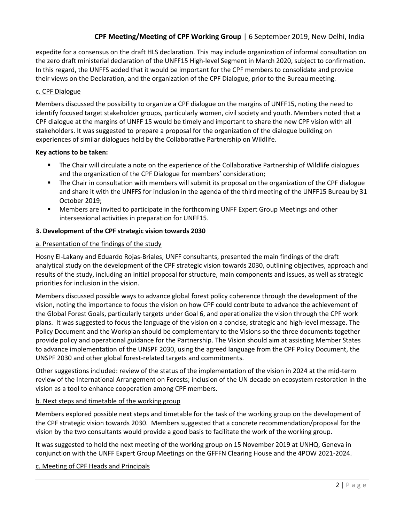expedite for a consensus on the draft HLS declaration. This may include organization of informal consultation on the zero draft ministerial declaration of the UNFF15 High-level Segment in March 2020, subject to confirmation. In this regard, the UNFFS added that it would be important for the CPF members to consolidate and provide their views on the Declaration, and the organization of the CPF Dialogue, prior to the Bureau meeting.

## c. CPF Dialogue

Members discussed the possibility to organize a CPF dialogue on the margins of UNFF15, noting the need to identify focused target stakeholder groups, particularly women, civil society and youth. Members noted that a CPF dialogue at the margins of UNFF 15 would be timely and important to share the new CPF vision with all stakeholders. It was suggested to prepare a proposal for the organization of the dialogue building on experiences of similar dialogues held by the Collaborative Partnership on Wildlife.

# **Key actions to be taken:**

- The Chair will circulate a note on the experience of the Collaborative Partnership of Wildlife dialogues and the organization of the CPF Dialogue for members' consideration;
- The Chair in consultation with members will submit its proposal on the organization of the CPF dialogue and share it with the UNFFS for inclusion in the agenda of the third meeting of the UNFF15 Bureau by 31 October 2019;
- **■** Members are invited to participate in the forthcoming UNFF Expert Group Meetings and other intersessional activities in preparation for UNFF15.

# **3. Development of the CPF strategic vision towards 2030**

### a. Presentation of the findings of the study

Hosny El-Lakany and Eduardo Rojas-Briales, UNFF consultants, presented the main findings of the draft analytical study on the development of the CPF strategic vision towards 2030, outlining objectives, approach and results of the study, including an initial proposal for structure, main components and issues, as well as strategic priorities for inclusion in the vision.

Members discussed possible ways to advance global forest policy coherence through the development of the vision, noting the importance to focus the vision on how CPF could contribute to advance the achievement of the Global Forest Goals, particularly targets under Goal 6, and operationalize the vision through the CPF work plans. It was suggested to focus the language of the vision on a concise, strategic and high-level message. The Policy Document and the Workplan should be complementary to the Visions so the three documents together provide policy and operational guidance for the Partnership. The Vision should aim at assisting Member States to advance implementation of the UNSPF 2030, using the agreed language from the CPF Policy Document, the UNSPF 2030 and other global forest-related targets and commitments.

Other suggestions included: review of the status of the implementation of the vision in 2024 at the mid-term review of the International Arrangement on Forests; inclusion of the UN decade on ecosystem restoration in the vision as a tool to enhance cooperation among CPF members.

### b. Next steps and timetable of the working group

Members explored possible next steps and timetable for the task of the working group on the development of the CPF strategic vision towards 2030. Members suggested that a concrete recommendation/proposal for the vision by the two consultants would provide a good basis to facilitate the work of the working group.

It was suggested to hold the next meeting of the working group on 15 November 2019 at UNHQ, Geneva in conjunction with the UNFF Expert Group Meetings on the GFFFN Clearing House and the 4POW 2021-2024.

# c. Meeting of CPF Heads and Principals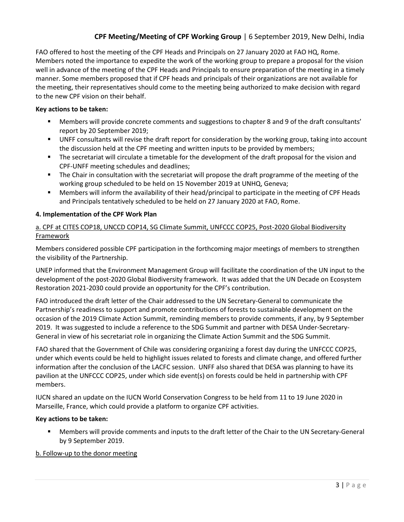FAO offered to host the meeting of the CPF Heads and Principals on 27 January 2020 at FAO HQ, Rome. Members noted the importance to expedite the work of the working group to prepare a proposal for the vision well in advance of the meeting of the CPF Heads and Principals to ensure preparation of the meeting in a timely manner. Some members proposed that if CPF heads and principals of their organizations are not available for the meeting, their representatives should come to the meeting being authorized to make decision with regard to the new CPF vision on their behalf.

# **Key actions to be taken:**

- Members will provide concrete comments and suggestions to chapter 8 and 9 of the draft consultants' report by 20 September 2019;
- UNFF consultants will revise the draft report for consideration by the working group, taking into account the discussion held at the CPF meeting and written inputs to be provided by members;
- The secretariat will circulate a timetable for the development of the draft proposal for the vision and CPF-UNFF meeting schedules and deadlines;
- The Chair in consultation with the secretariat will propose the draft programme of the meeting of the working group scheduled to be held on 15 November 2019 at UNHQ, Geneva;
- Members will inform the availability of their head/principal to participate in the meeting of CPF Heads and Principals tentatively scheduled to be held on 27 January 2020 at FAO, Rome.

# **4. Implementation of the CPF Work Plan**

# a. CPF at CITES COP18, UNCCD COP14, SG Climate Summit, UNFCCC COP25, Post-2020 Global Biodiversity Framework

Members considered possible CPF participation in the forthcoming major meetings of members to strengthen the visibility of the Partnership.

UNEP informed that the Environment Management Group will facilitate the coordination of the UN input to the development of the post-2020 Global Biodiversity framework. It was added that the UN Decade on Ecosystem Restoration 2021-2030 could provide an opportunity for the CPF's contribution.

FAO introduced the draft letter of the Chair addressed to the UN Secretary-General to communicate the Partnership's readiness to support and promote contributions of forests to sustainable development on the occasion of the 2019 Climate Action Summit, reminding members to provide comments, if any, by 9 September 2019. It was suggested to include a reference to the SDG Summit and partner with DESA Under-Secretary-General in view of his secretariat role in organizing the Climate Action Summit and the SDG Summit.

FAO shared that the Government of Chile was considering organizing a forest day during the UNFCCC COP25, under which events could be held to highlight issues related to forests and climate change, and offered further information after the conclusion of the LACFC session. UNFF also shared that DESA was planning to have its pavilion at the UNFCCC COP25, under which side event(s) on forests could be held in partnership with CPF members.

IUCN shared an update on the IUCN World Conservation Congress to be held from 11 to 19 June 2020 in Marseille, France, which could provide a platform to organize CPF activities.

# **Key actions to be taken:**

Members will provide comments and inputs to the draft letter of the Chair to the UN Secretary-General by 9 September 2019.

b. Follow-up to the donor meeting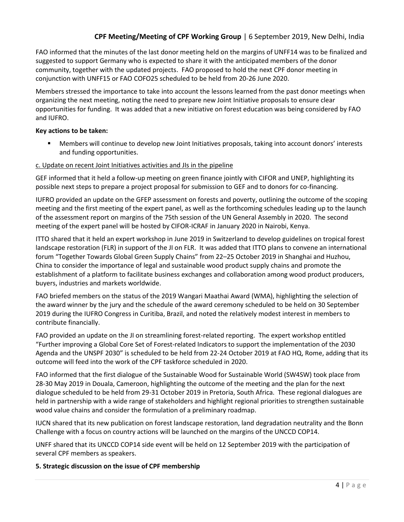FAO informed that the minutes of the last donor meeting held on the margins of UNFF14 was to be finalized and suggested to support Germany who is expected to share it with the anticipated members of the donor community, together with the updated projects. FAO proposed to hold the next CPF donor meeting in conjunction with UNFF15 or FAO COFO25 scheduled to be held from 20-26 June 2020.

Members stressed the importance to take into account the lessons learned from the past donor meetings when organizing the next meeting, noting the need to prepare new Joint Initiative proposals to ensure clear opportunities for funding. It was added that a new initiative on forest education was being considered by FAO and IUFRO.

# **Key actions to be taken:**

Members will continue to develop new Joint Initiatives proposals, taking into account donors' interests and funding opportunities.

# c. Update on recent Joint Initiatives activities and JIs in the pipeline

GEF informed that it held a follow-up meeting on green finance jointly with CIFOR and UNEP, highlighting its possible next steps to prepare a project proposal for submission to GEF and to donors for co-financing.

IUFRO provided an update on the GFEP assessment on forests and poverty, outlining the outcome of the scoping meeting and the first meeting of the expert panel, as well as the forthcoming schedules leading up to the launch of the assessment report on margins of the 75th session of the UN General Assembly in 2020. The second meeting of the expert panel will be hosted by CIFOR-ICRAF in January 2020 in Nairobi, Kenya.

ITTO shared that it held an expert workshop in June 2019 in Switzerland to develop guidelines on tropical forest landscape restoration (FLR) in support of the JI on FLR. It was added that ITTO plans to convene an international forum "Together Towards Global Green Supply Chains" from 22–25 October 2019 in Shanghai and Huzhou, China to consider the importance of legal and sustainable wood product supply chains and promote the establishment of a platform to facilitate business exchanges and collaboration among wood product producers, buyers, industries and markets worldwide.

FAO briefed members on the status of the 2019 Wangari Maathai Award (WMA), highlighting the selection of the award winner by the jury and the schedule of the award ceremony scheduled to be held on 30 September 2019 during the IUFRO Congress in Curitiba, Brazil, and noted the relatively modest interest in members to contribute financially.

FAO provided an update on the JI on streamlining forest-related reporting. The expert workshop entitled "Further improving a Global Core Set of Forest-related Indicators to support the implementation of the 2030 Agenda and the UNSPF 2030" is scheduled to be held from 22-24 October 2019 at FAO HQ, Rome, adding that its outcome will feed into the work of the CPF taskforce scheduled in 2020.

FAO informed that the first dialogue of the Sustainable Wood for Sustainable World (SW4SW) took place from 28-30 May 2019 in Douala, Cameroon, highlighting the outcome of the meeting and the plan for the next dialogue scheduled to be held from 29-31 October 2019 in Pretoria, South Africa. These regional dialogues are held in partnership with a wide range of stakeholders and highlight regional priorities to strengthen sustainable wood value chains and consider the formulation of a preliminary roadmap.

IUCN shared that its new publication on forest landscape restoration, land degradation neutrality and the Bonn Challenge with a focus on country actions will be launched on the margins of the UNCCD COP14.

UNFF shared that its UNCCD COP14 side event will be held on 12 September 2019 with the participation of several CPF members as speakers.

# **5. Strategic discussion on the issue of CPF membership**